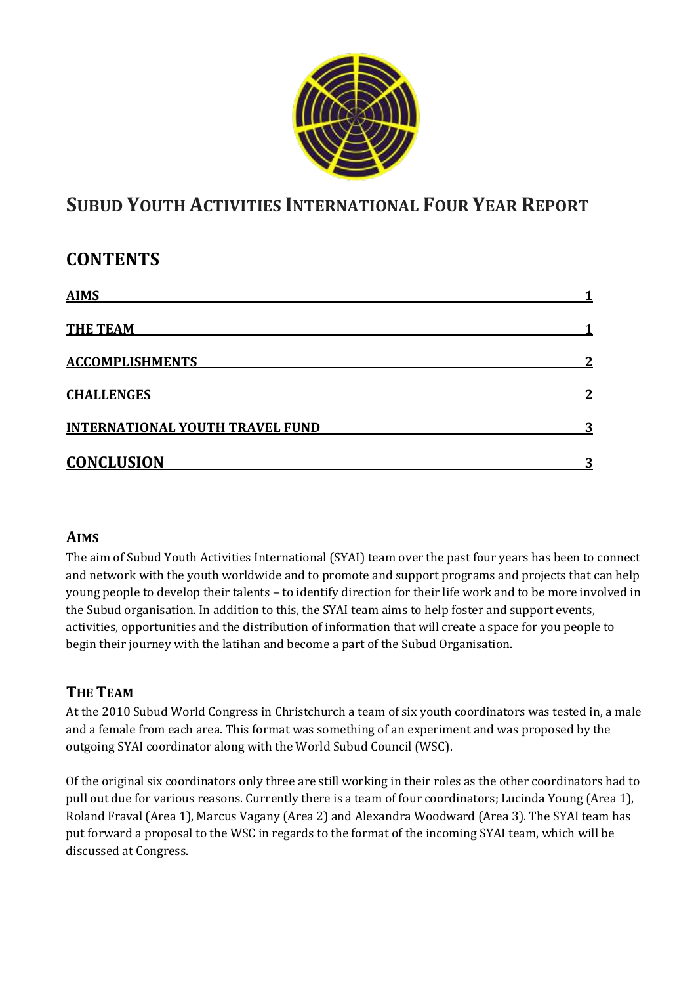

# **SUBUD YOUTH ACTIVITIES INTERNATIONAL FOUR YEAR REPORT**

## **CONTENTS**

| <b>AIMS</b>                            |   |
|----------------------------------------|---|
| <b>THE TEAM</b>                        |   |
| <b>ACCOMPLISHMENTS</b>                 | າ |
| <b>CHALLENGES</b>                      | າ |
| <b>INTERNATIONAL YOUTH TRAVEL FUND</b> | 3 |
| <b>CONCLUSION</b>                      |   |

#### **AIMS**

The aim of Subud Youth Activities International (SYAI) team over the past four years has been to connect and network with the youth worldwide and to promote and support programs and projects that can help young people to develop their talents – to identify direction for their life work and to be more involved in the Subud organisation. In addition to this, the SYAI team aims to help foster and support events, activities, opportunities and the distribution of information that will create a space for you people to begin their journey with the latihan and become a part of the Subud Organisation.

### **THE TEAM**

At the 2010 Subud World Congress in Christchurch a team of six youth coordinators was tested in, a male and a female from each area. This format was something of an experiment and was proposed by the outgoing SYAI coordinator along with the World Subud Council (WSC).

Of the original six coordinators only three are still working in their roles as the other coordinators had to pull out due for various reasons. Currently there is a team of four coordinators; Lucinda Young (Area 1), Roland Fraval (Area 1), Marcus Vagany (Area 2) and Alexandra Woodward (Area 3). The SYAI team has put forward a proposal to the WSC in regards to the format of the incoming SYAI team, which will be discussed at Congress.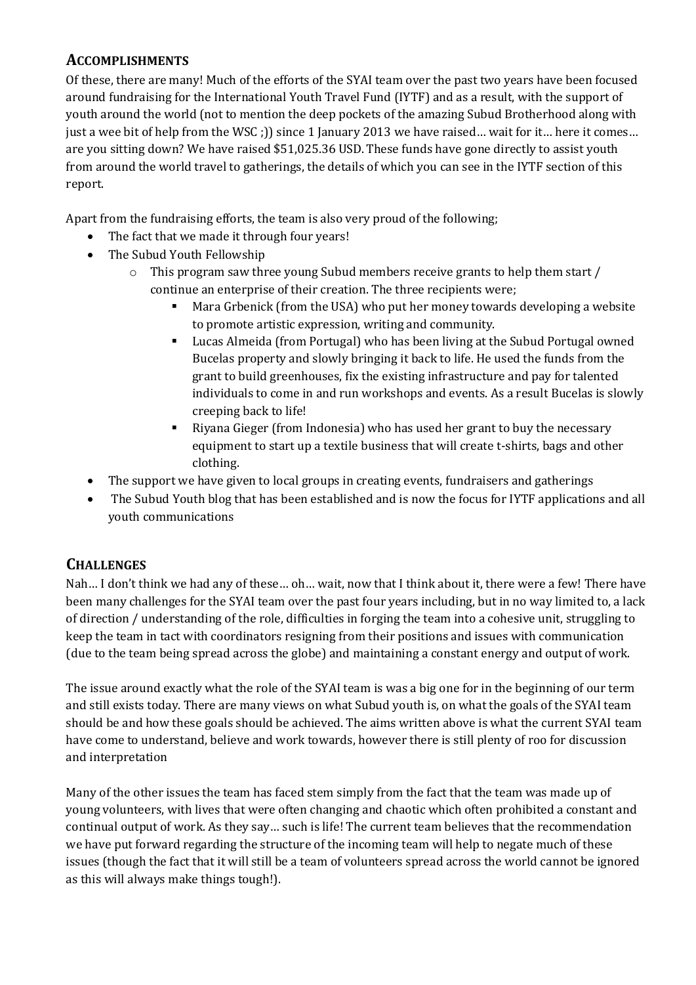#### **ACCOMPLISHMENTS**

Of these, there are many! Much of the efforts of the SYAI team over the past two years have been focused around fundraising for the International Youth Travel Fund (IYTF) and as a result, with the support of youth around the world (not to mention the deep pockets of the amazing Subud Brotherhood along with just a wee bit of help from the WSC ;)) since 1 January 2013 we have raised... wait for it... here it comes... are you sitting down? We have raised \$51,025.36 USD.These funds have gone directly to assist youth from around the world travel to gatherings, the details of which you can see in the IYTF section of this report.

Apart from the fundraising efforts, the team is also very proud of the following;

- The fact that we made it through four years!
- The Subud Youth Fellowship
	- o This program saw three young Subud members receive grants to help them start / continue an enterprise of their creation. The three recipients were;
		- Mara Grbenick (from the USA) who put her money towards developing a website to promote artistic expression, writing and community.
		- Lucas Almeida (from Portugal) who has been living at the Subud Portugal owned Bucelas property and slowly bringing it back to life. He used the funds from the grant to build greenhouses, fix the existing infrastructure and pay for talented individuals to come in and run workshops and events. As a result Bucelas is slowly creeping back to life!
		- Riyana Gieger (from Indonesia) who has used her grant to buy the necessary equipment to start up a textile business that will create t-shirts, bags and other clothing.
- The support we have given to local groups in creating events, fundraisers and gatherings
- The Subud Youth blog that has been established and is now the focus for IYTF applications and all youth communications

### **CHALLENGES**

Nah… I don't think we had any of these… oh… wait, now that I think about it, there were a few! There have been many challenges for the SYAI team over the past four years including, but in no way limited to, a lack of direction / understanding of the role, difficulties in forging the team into a cohesive unit, struggling to keep the team in tact with coordinators resigning from their positions and issues with communication (due to the team being spread across the globe) and maintaining a constant energy and output of work.

The issue around exactly what the role of the SYAI team is was a big one for in the beginning of our term and still exists today. There are many views on what Subud youth is, on what the goals of the SYAI team should be and how these goals should be achieved. The aims written above is what the current SYAI team have come to understand, believe and work towards, however there is still plenty of roo for discussion and interpretation

Many of the other issues the team has faced stem simply from the fact that the team was made up of young volunteers, with lives that were often changing and chaotic which often prohibited a constant and continual output of work. As they say… such is life! The current team believes that the recommendation we have put forward regarding the structure of the incoming team will help to negate much of these issues (though the fact that it will still be a team of volunteers spread across the world cannot be ignored as this will always make things tough!).